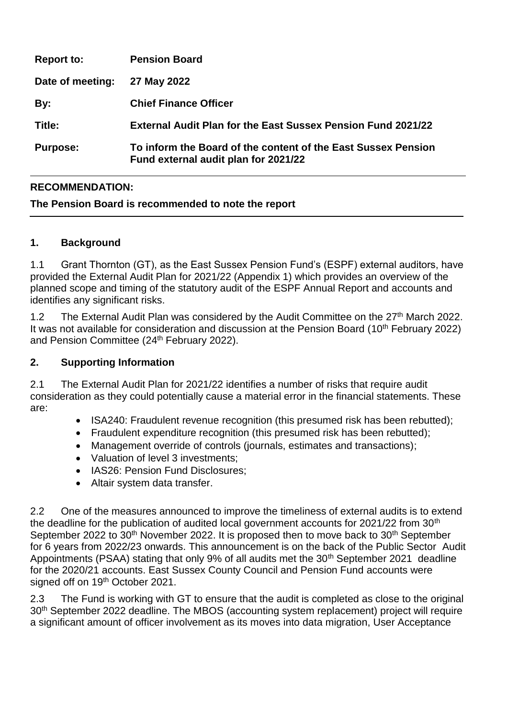| <b>Report to:</b> | <b>Pension Board</b>                                                                                  |
|-------------------|-------------------------------------------------------------------------------------------------------|
| Date of meeting:  | 27 May 2022                                                                                           |
| By:               | <b>Chief Finance Officer</b>                                                                          |
| Title:            | <b>External Audit Plan for the East Sussex Pension Fund 2021/22</b>                                   |
| <b>Purpose:</b>   | To inform the Board of the content of the East Sussex Pension<br>Fund external audit plan for 2021/22 |

# **RECOMMENDATION:**

## **The Pension Board is recommended to note the report**

### **1. Background**

1.1 Grant Thornton (GT), as the East Sussex Pension Fund's (ESPF) external auditors, have provided the External Audit Plan for 2021/22 (Appendix 1) which provides an overview of the planned scope and timing of the statutory audit of the ESPF Annual Report and accounts and identifies any significant risks.

1.2 The External Audit Plan was considered by the Audit Committee on the 27<sup>th</sup> March 2022. It was not available for consideration and discussion at the Pension Board (10<sup>th</sup> February 2022) and Pension Committee (24<sup>th</sup> February 2022).

#### **2. Supporting Information**

2.1 The External Audit Plan for 2021/22 identifies a number of risks that require audit consideration as they could potentially cause a material error in the financial statements. These are:

- ISA240: Fraudulent revenue recognition (this presumed risk has been rebutted);
- Fraudulent expenditure recognition (this presumed risk has been rebutted);
- Management override of controls (journals, estimates and transactions);
- Valuation of level 3 investments:
- IAS26: Pension Fund Disclosures;
- Altair system data transfer.

2.2 One of the measures announced to improve the timeliness of external audits is to extend the deadline for the publication of audited local government accounts for 2021/22 from 30<sup>th</sup> September 2022 to  $30<sup>th</sup>$  November 2022. It is proposed then to move back to  $30<sup>th</sup>$  September for 6 years from 2022/23 onwards. This announcement is on the back of the Public Sector Audit Appointments (PSAA) stating that only 9% of all audits met the 30<sup>th</sup> September 2021 deadline for the 2020/21 accounts. East Sussex County Council and Pension Fund accounts were signed off on 19<sup>th</sup> October 2021.

2.3 The Fund is working with GT to ensure that the audit is completed as close to the original 30<sup>th</sup> September 2022 deadline. The MBOS (accounting system replacement) project will require a significant amount of officer involvement as its moves into data migration, User Acceptance